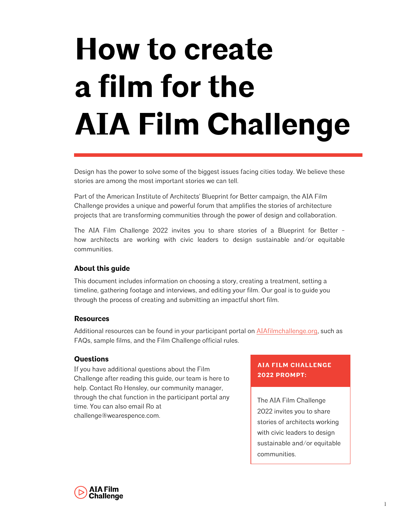# **How to create a film for the AIA Film Challenge**

Design has the power to solve some of the biggest issues facing cities today. We believe these stories are among the most important stories we can tell.

Part of the American Institute of Architects' Blueprint for Better campaign, the AIA Film Challenge provides a unique and powerful forum that amplifies the stories of architecture projects that are transforming communities through the power of design and collaboration.

The AIA Film Challenge 2022 invites you to share stories of a Blueprint for Better how architects are working with civic leaders to design sustainable and/or equitable communities.

#### **About this guide**

This document includes information on choosing a story, creating a treatment, setting a timeline, gathering footage and interviews, and editing your film. Our goal is to guide you through the process of creating and submitting an impactful short film.

#### **Resources**

Additional resources can be found in your participant portal on [AIAfilmchallenge.org](https://aiafilmchallenge.org/), such as FAQs, sample films, and the Film Challenge official rules.

#### **Questions**

If you have additional questions about the Film Challenge after reading this guide, our team is here to help. Contact Ro Hensley, our community manager, through the chat function in the participant portal any time. You can also email Ro at challenge@wearespence.com.

#### **AIA FILM CHALLENGE 2022 PROMPT:**

The AIA Film Challenge 2022 invites you to share stories of architects working with civic leaders to design sustainable and/or equitable communities.

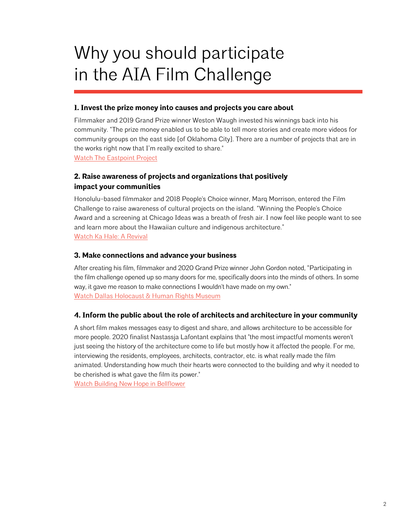# Why you should participate in the AIA Film Challenge

#### **1. Invest the prize money into causes and projects you care about**

Filmmaker and 2019 Grand Prize winner Weston Waugh invested his winnings back into his community. "The prize money enabled us to be able to tell more stories and create more videos for community groups on the east side [of Oklahoma City]. There are a number of projects that are in the works right now that I'm really excited to share." [Watch The Eastpoint Project](https://vimeo.com/showcase/4927796/video/355116802)

#### **2. Raise awareness of projects and organizations that positively impact your communities**

Honolulu-based filmmaker and 2018 People's Choice winner, Marq Morrison, entered the Film Challenge to raise awareness of cultural projects on the island. "Winning the People's Choice Award and a screening at Chicago Ideas was a breath of fresh air. I now feel like people want to see and learn more about the Hawaiian culture and indigenous architecture." [Watch Ka Hale: A Revival](https://vimeo.com/showcase/4927796/video/294873314)

#### **3. Make connections and advance your business**

After creating his film, filmmaker and 2020 Grand Prize winner John Gordon noted, "Participating in the film challenge opened up so many doors for me, specifically doors into the minds of others. In some way, it gave me reason to make connections I wouldn't have made on my own." [Watch Dallas Holocaust & Human Rights Museum](https://vimeo.com/showcase/4927796/video/455960406)

#### **4. Inform the public about the role of architects and architecture in your community**

A short film makes messages easy to digest and share, and allows architecture to be accessible for more people. 2020 finalist Nastassja Lafontant explains that "the most impactful moments weren't just seeing the history of the architecture come to life but mostly how it affected the people. For me, interviewing the residents, employees, architects, contractor, etc. is what really made the film animated. Understanding how much their hearts were connected to the building and why it needed to be cherished is what gave the film its power."

[Watch Building New Hope in Bellflower](https://vimeo.com/showcase/4927796/video/455960304)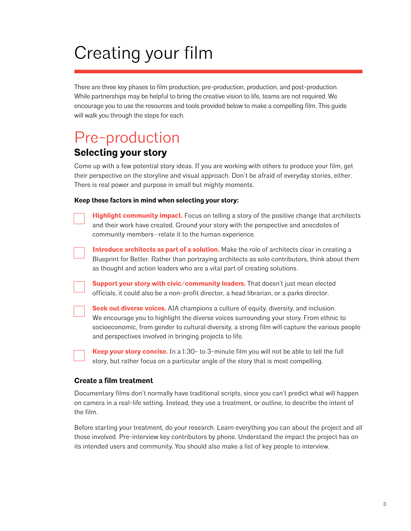# Creating your film

There are three key phases to film production, pre-production, production, and post-production. While partnerships may be helpful to bring the creative vision to life, teams are not required. We encourage you to use the resources and tools provided below to make a compelling film. This guide will walk you through the steps for each.

### Pre-production **Selecting your story**

Come up with a few potential story ideas. If you are working with others to produce your film, get their perspective on the storyline and visual approach. Don't be afraid of everyday stories, either. There is real power and purpose in small but mighty moments.

#### **Keep these factors in mind when selecting your story:**

| Highlight community impact. Focus on telling a story of the positive change that architects<br>and their work have created. Ground your story with the perspective and anecdotes of |
|-------------------------------------------------------------------------------------------------------------------------------------------------------------------------------------|
| community members-relate it to the human experience.                                                                                                                                |

**Introduce architects as part of a solution.** Make the role of architects clear in creating a Blueprint for Better. Rather than portraying architects as solo contributors, think about them as thought and action leaders who are a vital part of creating solutions.

| Support your story with civic/community leaders. That doesn't just mean elected           |  |  |
|-------------------------------------------------------------------------------------------|--|--|
| officials, it could also be a non-profit director, a head librarian, or a parks director. |  |  |

**Seek out diverse voices.** AIA champions a culture of equity, diversity, and inclusion. We encourage you to highlight the diverse voices surrounding your story. From ethnic to socioeconomic, from gender to cultural diversity, a strong film will capture the various people and perspectives involved in bringing projects to life.

**Keep your story concise.** In a 1:30- to 3-minute film you will not be able to tell the full story, but rather focus on a particular angle of the story that is most compelling.

#### **Create a film treatment**

Documentary films don't normally have traditional scripts, since you can't predict what will happen on camera in a real-life setting. Instead, they use a treatment, or outline, to describe the intent of the film.

Before starting your treatment, do your research. Learn everything you can about the project and all those involved. Pre-interview key contributors by phone. Understand the impact the project has on its intended users and community. You should also make a list of key people to interview.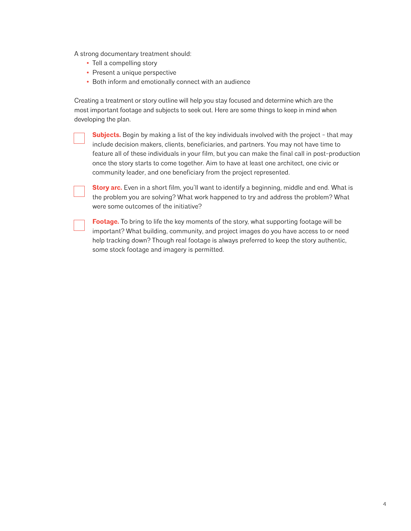A strong documentary treatment should:

- **•** Tell a compelling story
- **•** Present a unique perspective
- **•** Both inform and emotionally connect with an audience

Creating a treatment or story outline will help you stay focused and determine which are the most important footage and subjects to seek out. Here are some things to keep in mind when developing the plan.

**Subjects.** Begin by making a list of the key individuals involved with the project - that may include decision makers, clients, beneficiaries, and partners. You may not have time to feature all of these individuals in your film, but you can make the final call in post-production once the story starts to come together. Aim to have at least one architect, one civic or community leader, and one beneficiary from the project represented.

**Story arc.** Even in a short film, you'll want to identify a beginning, middle and end. What is the problem you are solving? What work happened to try and address the problem? What were some outcomes of the initiative?

**Footage.** To bring to life the key moments of the story, what supporting footage will be important? What building, community, and project images do you have access to or need help tracking down? Though real footage is always preferred to keep the story authentic, some stock footage and imagery is permitted.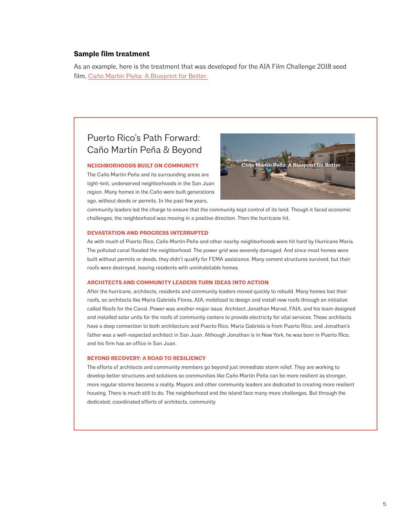#### **Sample film treatment**

As an example, here is the treatment that was developed for the AIA Film Challenge 2018 seed film, [Caño Martín Peña: A Blueprint for Better.](https://vimeo.com/274685178)

#### Puerto Rico's Path Forward: Caño Martín Peña & Beyond

#### **NEIGHBORHOODS BUILT ON COMMUNITY**

The Caño Martín Peña and its surrounding areas are tight-knit, underserved neighborhoods in the San Juan region. Many homes in the Caño were built generations ago, without deeds or permits. In the past few years,



community leaders led the charge to ensure that the community kept control of its land. Though it faced economic challenges, the neighborhood was moving in a positive direction. Then the hurricane hit.

#### **DEVASTATION AND PROGRESS INTERRUPTED**

As with much of Puerto Rico, Caño Martín Peña and other nearby neighborhoods were hit hard by Hurricane Maria. The polluted canal flooded the neighborhood. The power grid was severely damaged. And since most homes were built without permits or deeds, they didn't qualify for FEMA assistance. Many cement structures survived, but their roofs were destroyed, leaving residents with uninhabitable homes.

#### **ARCHITECTS AND COMMUNITY LEADERS TURN IDEAS INTO ACTION**

After the hurricane, architects, residents and community leaders moved quickly to rebuild. Many homes lost their roofs, so architects like Maria Gabriela Flores, AIA, mobilized to design and install new roofs through an initiative called Roofs for the Canal. Power was another major issue. Architect Jonathan Marvel, FAIA, and his team designed and installed solar units for the roofs of community centers to provide electricity for vital services. These architects have a deep connection to both architecture and Puerto Rico. Maria Gabriela is from Puerto Rico, and Jonathan's father was a well-respected architect in San Juan. Although Jonathan is in New York, he was born in Puerto Rico, and his firm has an office in San Juan.

#### **BEYOND RECOVERY: A ROAD TO RESILIENCY**

The efforts of architects and community members go beyond just immediate storm relief. They are working to develop better structures and solutions so communities like Caño Martin Peña can be more resilient as stronger, more regular storms become a reality. Mayors and other community leaders are dedicated to creating more resilient housing. There is much still to do. The neighborhood and the island face many more challenges. But through the dedicated, coordinated efforts of architects, community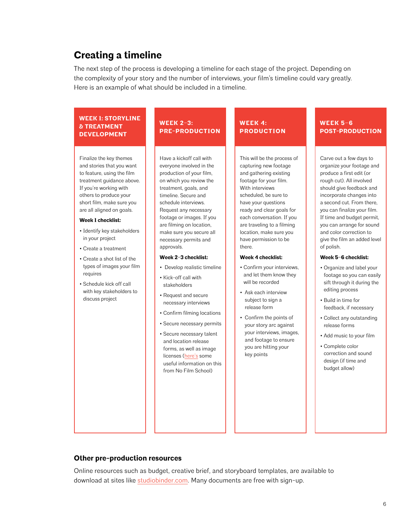#### **Creating a timeline**

The next step of the process is developing a timeline for each stage of the project. Depending on the complexity of your story and the number of interviews, your film's timeline could vary greatly. Here is an example of what should be included in a timeline.

#### **WEEK 1: STORYLINE & TREATMENT DEVELOPMENT**

Finalize the key themes and stories that you want to feature, using the film treatment guidance above. If you're working with others to produce your short film, make sure you are all aligned on goals.

#### **Week 1 checklist:**

- Identify key stakeholders in your project
- Create a treatment
- Create a shot list of the types of images your film requires
- Schedule kick off call with key stakeholders to discuss project

#### **WEEK 2–3: PRE-PRODUCTION**

Have a kickoff call with everyone involved in the production of your film, on which you review the treatment, goals, and timeline. Secure and schedule interviews. Request any necessary footage or images. If you are filming on location, make sure you secure all necessary permits and approvals.

#### **Week 2–3 checklist:**

- Develop realistic timeline
- Kick-off call with stakeholders
- Request and secure necessary interviews
- Confirm filming locations
- Secure necessary permits
- Secure necessary talent and location release forms, as well as image licenses ([here's](https://nofilmschool.com/2016/10/documentary-filmmaker-rights-releases-permissions) some useful information on this from No Film School)

#### **WEEK 4:**  $\blacksquare$ **PRODUCTION**

This will be the process of capturing new footage and gathering existing footage for your film. With interviews scheduled, be sure to have your questions ready and clear goals for each conversation. If you are traveling to a filming location, make sure you have permission to be there.

#### **Week 4 checklist:**

- Confirm your interviews, and let them know they will be recorded
- Ask each interview subject to sign a release form
- Confirm the points of your story arc against your interviews, images, and footage to ensure you are hitting your key points

#### **WEEK 5–6 POST-PRODUCTION**

Carve out a few days to organize your footage and produce a first edit (or rough cut). All involved should give feedback and incorporate changes into a second cut. From there, you can finalize your film. If time and budget permit, you can arrange for sound and color correction to give the film an added level of polish.

#### **Week 5–6 checklist:**

- Organize and label your footage so you can easily sift through it during the editing process
- Build in time for feedback, if necessary
- Collect any outstanding release forms
- Add music to your film
- Complete color correction and sound design (if time and budget allow)

#### **Other pre-production resources**

Online resources such as budget, creative brief, and storyboard templates, are available to download at sites like [studiobinder.com.](https://www.studiobinder.com/) Many documents are free with sign-up.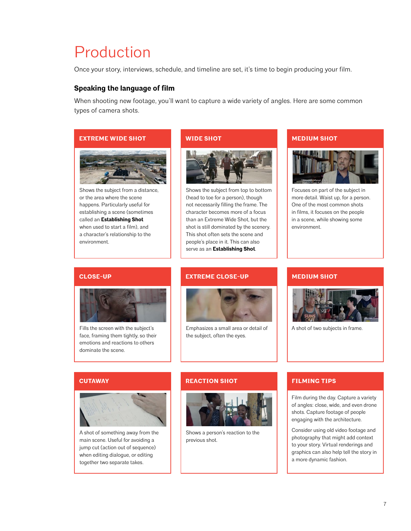### Production

Once your story, interviews, schedule, and timeline are set, it's time to begin producing your film.

#### **Speaking the language of film**

When shooting new footage, you'll want to capture a wide variety of angles. Here are some common types of camera shots.

#### **EXTREME WIDE SHOT**



Shows the subject from a distance, or the area where the scene happens. Particularly useful for establishing a scene (sometimes called an **Establishing Shot** when used to start a film), and a character's relationship to the environment.

#### **WIDE SHOT**



Shows the subject from top to bottom (head to toe for a person), though not necessarily filling the frame. The character becomes more of a focus than an Extreme Wide Shot, but the shot is still dominated by the scenery. This shot often sets the scene and people's place in it. This can also serve as an **Establishing Shot**.

#### **MEDIUM SHOT**



Focuses on part of the subject in more detail. Waist up, for a person. One of the most common shots in films, it focuses on the people in a scene, while showing some environment.

#### **CLOSE-UP**



Fills the screen with the subject's face, framing them tightly, so their emotions and reactions to others dominate the scene.

#### **EXTREME CLOSE-UP**



Emphasizes a small area or detail of the subject, often the eyes.

#### **MEDIUM SHOT**



A shot of two subjects in frame.

#### **CUTAWAY**



A shot of something away from the main scene. Useful for avoiding a jump cut (action out of sequence) when editing dialogue, or editing together two separate takes.

#### **REACTION SHOT**



Shows a person's reaction to the previous shot.

#### **FILMING TIPS**

Film during the day. Capture a variety of angles: close, wide, and even drone shots. Capture footage of people engaging with the architecture.

Consider using old video footage and photography that might add context to your story. Virtual renderings and graphics can also help tell the story in a more dynamic fashion.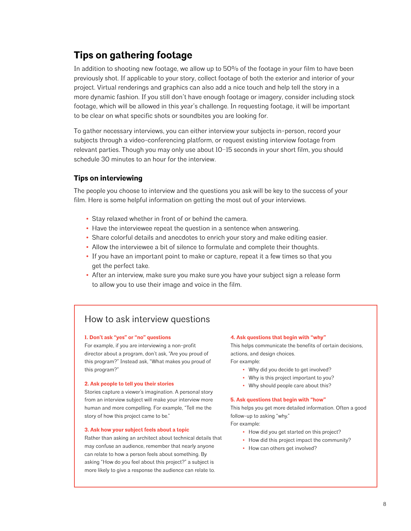#### **Tips on gathering footage**

In addition to shooting new footage, we allow up to 50% of the footage in your film to have been previously shot. If applicable to your story, collect footage of both the exterior and interior of your project. Virtual renderings and graphics can also add a nice touch and help tell the story in a more dynamic fashion. If you still don't have enough footage or imagery, consider including stock footage, which will be allowed in this year's challenge. In requesting footage, it will be important to be clear on what specific shots or soundbites you are looking for.

To gather necessary interviews, you can either interview your subjects in-person, record your subjects through a video-conferencing platform, or request existing interview footage from relevant parties. Though you may only use about 10–15 seconds in your short film, you should schedule 30 minutes to an hour for the interview.

#### **Tips on interviewing**

The people you choose to interview and the questions you ask will be key to the success of your film. Here is some helpful information on getting the most out of your interviews.

- **•** Stay relaxed whether in front of or behind the camera.
- **•** Have the interviewee repeat the question in a sentence when answering.
- **•** Share colorful details and anecdotes to enrich your story and make editing easier.
- **•** Allow the interviewee a bit of silence to formulate and complete their thoughts.
- **•** If you have an important point to make or capture, repeat it a few times so that you get the perfect take.
- **•** After an interview, make sure you make sure you have your subject sign a release form to allow you to use their image and voice in the film.

#### How to ask interview questions

#### **1. Don't ask "yes" or "no" questions**

For example, if you are interviewing a non-profit director about a program, don't ask, "Are you proud of this program?" Instead ask, "What makes you proud of this program?"

#### **2. Ask people to tell you their stories**

Stories capture a viewer's imagination. A personal story from an interview subject will make your interview more human and more compelling. For example, "Tell me the story of how this project came to be."

#### **3. Ask how your subject feels about a topic**

Rather than asking an architect about technical details that may confuse an audience, remember that nearly anyone can relate to how a person feels about something. By asking "How do you feel about this project?" a subject is more likely to give a response the audience can relate to.

#### **4. Ask questions that begin with "why"**

This helps communicate the benefits of certain decisions, actions, and design choices.

For example:

- **•** Why did you decide to get involved?
- **•** Why is this project important to you?
- **•** Why should people care about this?

#### **5. Ask questions that begin with "how"**

This helps you get more detailed information. Often a good follow-up to asking "why."

For example:

- **•** How did you get started on this project?
- **•** How did this project impact the community?
- **•** How can others get involved?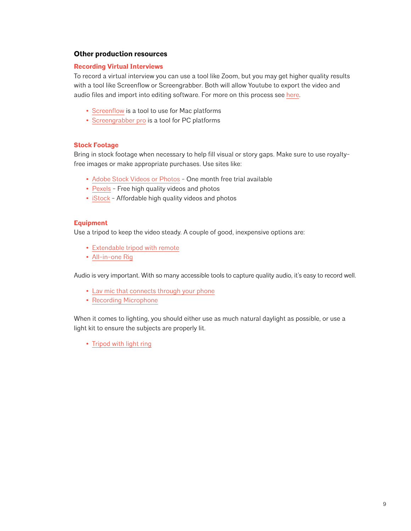#### **Other production resources**

#### **Recording Virtual Interviews**

To record a virtual interview you can use a tool like Zoom, but you may get higher quality results with a tool like Screenflow or Screengrabber. Both will allow Youtube to export the video and audio files and import into editing software. For more on this process see [here.](https://jonnyelwyn.co.uk/film-and-video-editing/how-to-record-a-zoom-meeting-in-high-quality-for-video-editing/)

- **•** [Screenflow](https://apps.apple.com/us/app/screenflow-9/id1475796517?mt=12) is a tool to use for Mac platforms
- **•** [Screengrabber pro](https://acethinker.com/desktop-recorder) is a tool for PC platforms

#### **Stock Footage**

Bring in stock footage when necessary to help fill visual or story gaps. Make sure to use royaltyfree images or make appropriate purchases. Use sites like:

- **•** [Adobe Stock Videos or Photos](https://stock.adobe.com/promo/firstmonthfree?as_content=fmflp&as_channel=sem&as_campclass=brand&as_campaign=US%7CCPRO%7CStock%7CPURCH%7CAS_Brand_Exact%7CGG%7C%7C&as_source=google&as_camptype=acquisition&sdid=KQPCU&ef_id=Cj0KCQjwuJz3BRDTARIsAMg-HxVjl9o_guMgyAoEa_fHsBwnQeI6efsdEfxTWH7J6tPrSwOZ8sFOq9AaAp_lEALw_wcB:G:s&s_kwcid=AL!3085!3!330595060732!e!!g!!adobe%20stock%20photos&gclid=Cj0KCQjwuJz3BRDTARIsAMg-HxVjl9o_guMgyAoEa_fHsBwnQeI6efsdEfxTWH7J6tPrSwOZ8sFOq9AaAp_lEALw_wcB) One month free trial available
- **•** [Pexels](https://www.pexels.com/) Free high quality videos and photos
- **•** [iStock](https://www.istockphoto.com/) Affordable high quality videos and photos

#### **Equipment**

Use a tripod to keep the video steady. A couple of good, inexpensive options are:

- **•** [Extendable tripod with remote](https://www.amazon.com/UBeesize-Extendable-Bluetooth-Aluminum-Lightweight/dp/B07NWC3L95/ref=sxin_6_sk-bs-2-na_f123c8ff4f2cd06780bd9f9199c9484a40624c2e?cv_ct_cx=phone+tripod&dchild=1&keywords=phone+tripod&pd_rd_i=B07NWC3L95&pd_rd_r=de17d177-5785-40df-91a8-dc64612d417f&pd_rd_w=udETj&pd_rd_wg=hGCG7&pf_rd_p=6fc2b407-fcbd-4a7f-be01-3234b1e9afce&pf_rd_r=T3SP1PCPCTCFSXCGKG8B&qid=1589996944&sr=1-2-ef6ec057-d556-4fd0-bed3-084ae9cc889f)
- **•** [All-in-one Rig](https://www.amazon.com/Smartphone-Recording-Stabilizer-Microphone-Smartphones/dp/B07281FRLR/ref=sr_1_8?dchild=1&keywords=light+kit+for+phone&qid=1589997726&sr=8-8)

Audio is very important. With so many accessible tools to capture quality audio, it's easy to record well.

- **•** [Lav mic that connects through your phone](https://www.amazon.com/Microphone-Professional-Valband-Omnidirectional-Microphone/dp/B081GXMP1Q/ref=sr_1_2?dchild=1&keywords=audio+recording+for+phone&qid=1589997561&sr=8-2)
- **•** [Recording Microphone](https://www.amazon.com/Recording-Microphone-ZealSound-Condenser-Garageband/dp/B078W69PRJ/ref=sr_1_6?dchild=1&keywords=audio+recording+for+phone&qid=1589997621&sr=8-6)

When it comes to lighting, you should either use as much natural daylight as possible, or use a light kit to ensure the subjects are properly lit.

**•** [Tripod with light ring](https://www.amazon.com/UBeesize-Ringlight-YouTube-Photography-Compatible/dp/B07GDC39Y2/ref=sxin_6_sk-bs-2-na_f123c8ff4f2cd06780bd9f9199c9484a40624c2e?cv_ct_cx=phone+tripod&dchild=1&keywords=phone+tripod&pd_rd_i=B07GDC39Y2&pd_rd_r=de17d177-5785-40df-91a8-dc64612d417f&pd_rd_w=udETj&pd_rd_wg=hGCG7&pf_rd_p=6fc2b407-fcbd-4a7f-be01-3234b1e9afce&pf_rd_r=T3SP1PCPCTCFSXCGKG8B&qid=1589996944&sr=1-1-ef6ec057-d556-4fd0-bed3-084ae9cc889f)